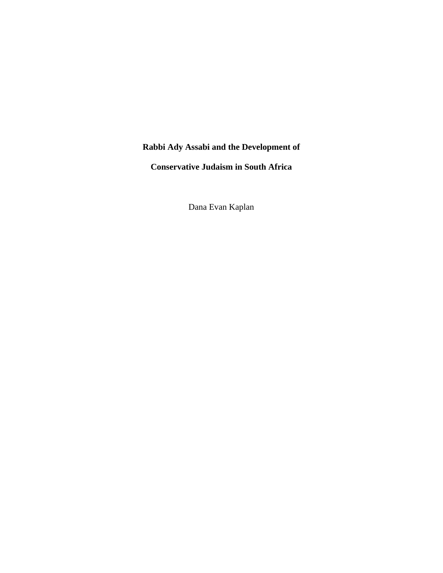## **Rabbi Ady Assabi and the Development of**

**Conservative Judaism in South Africa** 

Dana Evan Kaplan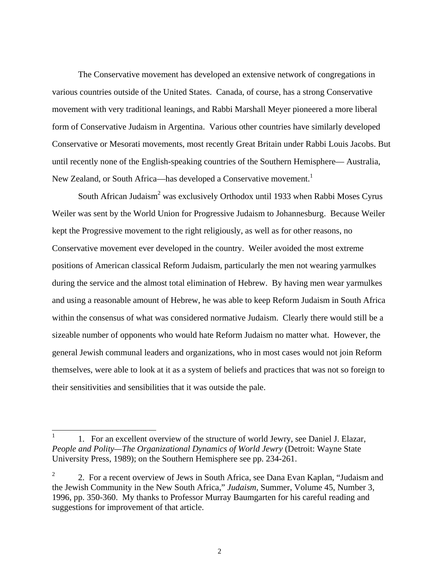The Conservative movement has developed an extensive network of congregations in various countries outside of the United States. Canada, of course, has a strong Conservative movement with very traditional leanings, and Rabbi Marshall Meyer pioneered a more liberal form of Conservative Judaism in Argentina. Various other countries have similarly developed Conservative or Mesorati movements, most recently Great Britain under Rabbi Louis Jacobs. But until recently none of the English-speaking countries of the Southern Hemisphere— Australia, New Zealand, or South Africa—has developed a Conservative movement.<sup>[1](#page-1-0)</sup>

South African Judaism<sup>[2](#page-1-1)</sup> was exclusively Orthodox until 1933 when Rabbi Moses Cyrus Weiler was sent by the World Union for Progressive Judaism to Johannesburg. Because Weiler kept the Progressive movement to the right religiously, as well as for other reasons, no Conservative movement ever developed in the country. Weiler avoided the most extreme positions of American classical Reform Judaism, particularly the men not wearing yarmulkes during the service and the almost total elimination of Hebrew. By having men wear yarmulkes and using a reasonable amount of Hebrew, he was able to keep Reform Judaism in South Africa within the consensus of what was considered normative Judaism. Clearly there would still be a sizeable number of opponents who would hate Reform Judaism no matter what. However, the general Jewish communal leaders and organizations, who in most cases would not join Reform themselves, were able to look at it as a system of beliefs and practices that was not so foreign to their sensitivities and sensibilities that it was outside the pale.

<span id="page-1-0"></span><sup>1.</sup> For an excellent overview of the structure of world Jewry, see Daniel J. Elazar, *People and Polity—The Organizational Dynamics of World Jewry* (Detroit: Wayne State University Press, 1989); on the Southern Hemisphere see pp. 234-261.

<span id="page-1-1"></span><sup>&</sup>lt;sup>2</sup> 2. For a recent overview of Jews in South Africa, see Dana Evan Kaplan, "Judaism and the Jewish Community in the New South Africa," *Judaism*, Summer, Volume 45, Number 3, 1996, pp. 350-360. My thanks to Professor Murray Baumgarten for his careful reading and suggestions for improvement of that article.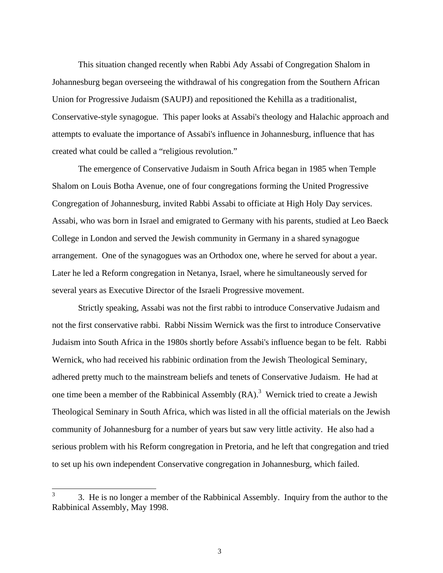This situation changed recently when Rabbi Ady Assabi of Congregation Shalom in Johannesburg began overseeing the withdrawal of his congregation from the Southern African Union for Progressive Judaism (SAUPJ) and repositioned the Kehilla as a traditionalist, Conservative-style synagogue. This paper looks at Assabi's theology and Halachic approach and attempts to evaluate the importance of Assabi's influence in Johannesburg, influence that has created what could be called a "religious revolution."

The emergence of Conservative Judaism in South Africa began in 1985 when Temple Shalom on Louis Botha Avenue, one of four congregations forming the United Progressive Congregation of Johannesburg, invited Rabbi Assabi to officiate at High Holy Day services. Assabi, who was born in Israel and emigrated to Germany with his parents, studied at Leo Baeck College in London and served the Jewish community in Germany in a shared synagogue arrangement. One of the synagogues was an Orthodox one, where he served for about a year. Later he led a Reform congregation in Netanya, Israel, where he simultaneously served for several years as Executive Director of the Israeli Progressive movement.

Strictly speaking, Assabi was not the first rabbi to introduce Conservative Judaism and not the first conservative rabbi. Rabbi Nissim Wernick was the first to introduce Conservative Judaism into South Africa in the 1980s shortly before Assabi's influence began to be felt. Rabbi Wernick, who had received his rabbinic ordination from the Jewish Theological Seminary, adhered pretty much to the mainstream beliefs and tenets of Conservative Judaism. He had at one time been a member of the Rabbinical Assembly  $(RA)$ .<sup>[3](#page-2-0)</sup> Wernick tried to create a Jewish Theological Seminary in South Africa, which was listed in all the official materials on the Jewish community of Johannesburg for a number of years but saw very little activity. He also had a serious problem with his Reform congregation in Pretoria, and he left that congregation and tried to set up his own independent Conservative congregation in Johannesburg, which failed.

<span id="page-2-0"></span> $3<sup>3</sup>$  3. He is no longer a member of the Rabbinical Assembly. Inquiry from the author to the Rabbinical Assembly, May 1998.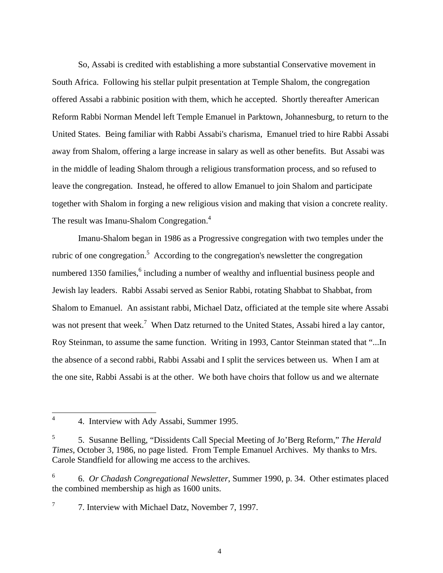So, Assabi is credited with establishing a more substantial Conservative movement in South Africa. Following his stellar pulpit presentation at Temple Shalom, the congregation offered Assabi a rabbinic position with them, which he accepted. Shortly thereafter American Reform Rabbi Norman Mendel left Temple Emanuel in Parktown, Johannesburg, to return to the United States. Being familiar with Rabbi Assabi's charisma, Emanuel tried to hire Rabbi Assabi away from Shalom, offering a large increase in salary as well as other benefits. But Assabi was in the middle of leading Shalom through a religious transformation process, and so refused to leave the congregation. Instead, he offered to allow Emanuel to join Shalom and participate together with Shalom in forging a new religious vision and making that vision a concrete reality. The result was Imanu-Shalom Congregation.<sup>[4](#page-3-0)</sup>

Imanu-Shalom began in 1986 as a Progressive congregation with two temples under the rubric of one congregation.<sup>[5](#page-3-1)</sup> According to the congregation's newsletter the congregation numbered 1350 families, <sup>[6](#page-3-2)</sup> including a number of wealthy and influential business people and Jewish lay leaders. Rabbi Assabi served as Senior Rabbi, rotating Shabbat to Shabbat, from Shalom to Emanuel. An assistant rabbi, Michael Datz, officiated at the temple site where Assabi was not present that week.<sup>[7](#page-3-3)</sup> When Datz returned to the United States, Assabi hired a lay cantor, Roy Steinman, to assume the same function. Writing in 1993, Cantor Steinman stated that "...In the absence of a second rabbi, Rabbi Assabi and I split the services between us. When I am at the one site, Rabbi Assabi is at the other. We both have choirs that follow us and we alternate

<span id="page-3-0"></span><sup>&</sup>lt;sup>4</sup> 4. Interview with Ady Assabi, Summer 1995.

<span id="page-3-1"></span><sup>5</sup> 5. Susanne Belling, "Dissidents Call Special Meeting of Jo'Berg Reform," *The Herald Times*, October 3, 1986, no page listed. From Temple Emanuel Archives. My thanks to Mrs. Carole Standfield for allowing me access to the archives.

<span id="page-3-2"></span><sup>6</sup> 6. *Or Chadash Congregational Newsletter*, Summer 1990, p. 34. Other estimates placed the combined membership as high as 1600 units.

<span id="page-3-3"></span> $7\,$  7. Interview with Michael Datz, November 7, 1997.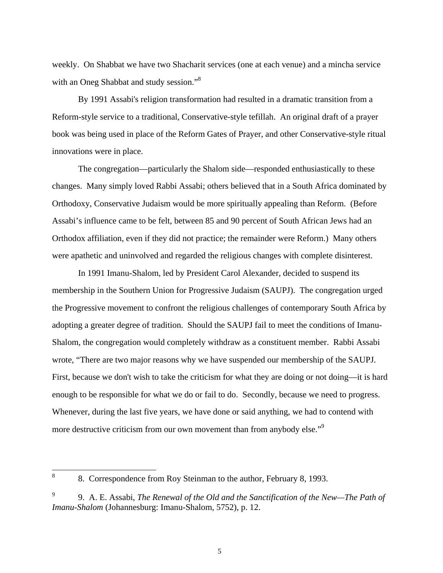weekly. On Shabbat we have two Shacharit services (one at each venue) and a mincha service with an Oneg Shabbat and study session."<sup>[8](#page-4-0)</sup>

By 1991 Assabi's religion transformation had resulted in a dramatic transition from a Reform-style service to a traditional, Conservative-style tefillah. An original draft of a prayer book was being used in place of the Reform Gates of Prayer, and other Conservative-style ritual innovations were in place.

The congregation—particularly the Shalom side—responded enthusiastically to these changes. Many simply loved Rabbi Assabi; others believed that in a South Africa dominated by Orthodoxy, Conservative Judaism would be more spiritually appealing than Reform. (Before Assabi's influence came to be felt, between 85 and 90 percent of South African Jews had an Orthodox affiliation, even if they did not practice; the remainder were Reform.) Many others were apathetic and uninvolved and regarded the religious changes with complete disinterest.

In 1991 Imanu-Shalom, led by President Carol Alexander, decided to suspend its membership in the Southern Union for Progressive Judaism (SAUPJ). The congregation urged the Progressive movement to confront the religious challenges of contemporary South Africa by adopting a greater degree of tradition. Should the SAUPJ fail to meet the conditions of Imanu-Shalom, the congregation would completely withdraw as a constituent member. Rabbi Assabi wrote, "There are two major reasons why we have suspended our membership of the SAUPJ. First, because we don't wish to take the criticism for what they are doing or not doing—it is hard enough to be responsible for what we do or fail to do. Secondly, because we need to progress. Whenever, during the last five years, we have done or said anything, we had to contend with more destructive criticism from our own movement than from anybody else."<sup>[9](#page-4-1)</sup>

<span id="page-4-0"></span> <sup>8</sup> 8. Correspondence from Roy Steinman to the author, February 8, 1993.

<span id="page-4-1"></span><sup>9.</sup> A. E. Assabi, *The Renewal of the Old and the Sanctification of the New—The Path of Imanu-Shalom* (Johannesburg: Imanu-Shalom, 5752), p. 12.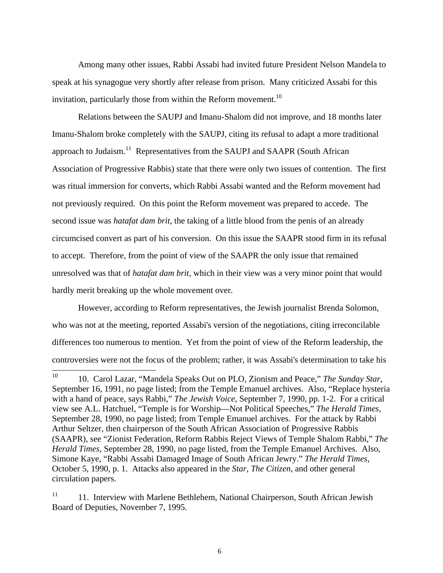Among many other issues, Rabbi Assabi had invited future President Nelson Mandela to speak at his synagogue very shortly after release from prison. Many criticized Assabi for this invitation, particularly those from within the Reform movement.<sup>[10](#page-5-0)</sup>

Relations between the SAUPJ and Imanu-Shalom did not improve, and 18 months later Imanu-Shalom broke completely with the SAUPJ, citing its refusal to adapt a more traditional approach to Judaism.<sup>[11](#page-5-1)</sup> Representatives from the SAUPJ and SAAPR (South African Association of Progressive Rabbis) state that there were only two issues of contention. The first was ritual immersion for converts, which Rabbi Assabi wanted and the Reform movement had not previously required. On this point the Reform movement was prepared to accede. The second issue was *hatafat dam brit*, the taking of a little blood from the penis of an already circumcised convert as part of his conversion. On this issue the SAAPR stood firm in its refusal to accept. Therefore, from the point of view of the SAAPR the only issue that remained unresolved was that of *hatafat dam brit*, which in their view was a very minor point that would hardly merit breaking up the whole movement over.

However, according to Reform representatives, the Jewish journalist Brenda Solomon, who was not at the meeting, reported Assabi's version of the negotiations, citing irreconcilable differences too numerous to mention. Yet from the point of view of the Reform leadership, the controversies were not the focus of the problem; rather, it was Assabi's determination to take his

<span id="page-5-0"></span> <sup>10</sup> 10. Carol Lazar, "Mandela Speaks Out on PLO, Zionism and Peace," *The Sunday Star*, September 16, 1991, no page listed; from the Temple Emanuel archives. Also, "Replace hysteria with a hand of peace, says Rabbi," *The Jewish Voice*, September 7, 1990, pp. 1-2. For a critical view see A.L. Hatchuel, "Temple is for Worship—Not Political Speeches," *The Herald Times*, September 28, 1990, no page listed; from Temple Emanuel archives. For the attack by Rabbi Arthur Seltzer, then chairperson of the South African Association of Progressive Rabbis (SAAPR), see "Zionist Federation, Reform Rabbis Reject Views of Temple Shalom Rabbi," *The Herald Times*, September 28, 1990, no page listed, from the Temple Emanuel Archives. Also, Simone Kaye, "Rabbi Assabi Damaged Image of South African Jewry." *The Herald Times*, October 5, 1990, p. 1. Attacks also appeared in the *Star, The Citizen*, and other general circulation papers.

<span id="page-5-1"></span> $11$  11. Interview with Marlene Bethlehem, National Chairperson, South African Jewish Board of Deputies, November 7, 1995.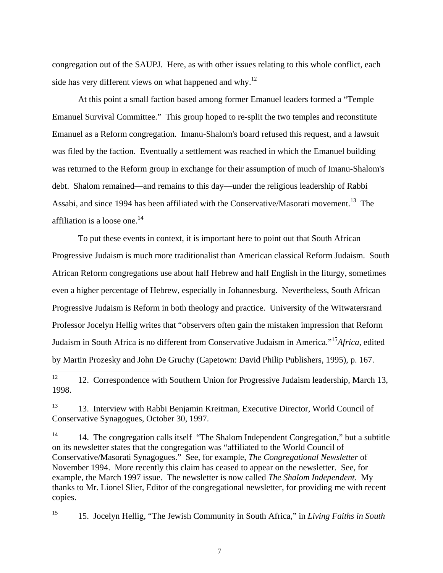congregation out of the SAUPJ. Here, as with other issues relating to this whole conflict, each side has very different views on what happened and why.<sup>[12](#page-6-0)</sup>

At this point a small faction based among former Emanuel leaders formed a "Temple Emanuel Survival Committee." This group hoped to re-split the two temples and reconstitute Emanuel as a Reform congregation. Imanu-Shalom's board refused this request, and a lawsuit was filed by the faction. Eventually a settlement was reached in which the Emanuel building was returned to the Reform group in exchange for their assumption of much of Imanu-Shalom's debt. Shalom remained—and remains to this day—under the religious leadership of Rabbi Assabi, and since 1994 has been affiliated with the Conservative/Masorati movement.<sup>[13](#page-6-1)</sup> The affiliation is a loose one.<sup>[14](#page-6-2)</sup>

To put these events in context, it is important here to point out that South African Progressive Judaism is much more traditionalist than American classical Reform Judaism. South African Reform congregations use about half Hebrew and half English in the liturgy, sometimes even a higher percentage of Hebrew, especially in Johannesburg. Nevertheless, South African Progressive Judaism is Reform in both theology and practice. University of the Witwatersrand Professor Jocelyn Hellig writes that "observers often gain the mistaken impression that Reform Judaism in South Africa is no different from Conservative Judaism in America."[15](#page-6-3)*Africa*, edited by Martin Prozesky and John De Gruchy (Capetown: David Philip Publishers, 1995), p. 167.

<span id="page-6-2"></span><sup>14</sup> 14. The congregation calls itself "The Shalom Independent Congregation," but a subtitle on its newsletter states that the congregation was "affiliated to the World Council of Conservative/Masorati Synagogues." See, for example, *The Congregational Newsletter* of November 1994. More recently this claim has ceased to appear on the newsletter. See, for example, the March 1997 issue. The newsletter is now called *The Shalom Independent.* My thanks to Mr. Lionel Slier, Editor of the congregational newsletter, for providing me with recent copies.

<span id="page-6-3"></span><sup>15</sup> 15. Jocelyn Hellig, "The Jewish Community in South Africa," in *Living Faiths in South* 

<span id="page-6-0"></span><sup>&</sup>lt;sup>12</sup> 12. Correspondence with Southern Union for Progressive Judaism leadership, March 13, 1998.

<span id="page-6-1"></span><sup>&</sup>lt;sup>13</sup> 13. Interview with Rabbi Benjamin Kreitman, Executive Director, World Council of Conservative Synagogues, October 30, 1997.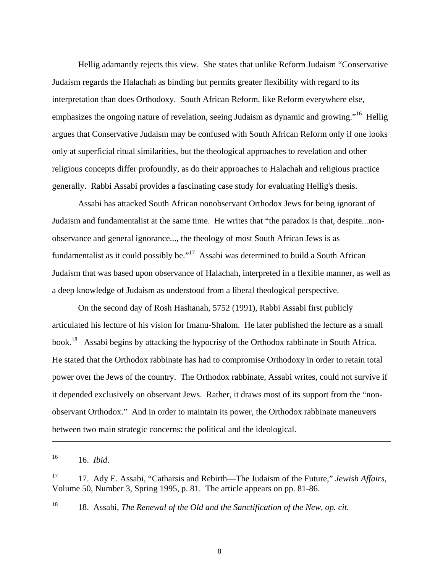Hellig adamantly rejects this view. She states that unlike Reform Judaism "Conservative Judaism regards the Halachah as binding but permits greater flexibility with regard to its interpretation than does Orthodoxy. South African Reform, like Reform everywhere else, emphasizes the ongoing nature of revelation, seeing Judaism as dynamic and growing."<sup>[16](#page-7-0)</sup> Hellig argues that Conservative Judaism may be confused with South African Reform only if one looks only at superficial ritual similarities, but the theological approaches to revelation and other religious concepts differ profoundly, as do their approaches to Halachah and religious practice generally. Rabbi Assabi provides a fascinating case study for evaluating Hellig's thesis.

Assabi has attacked South African nonobservant Orthodox Jews for being ignorant of Judaism and fundamentalist at the same time. He writes that "the paradox is that, despite...nonobservance and general ignorance..., the theology of most South African Jews is as fundamentalist as it could possibly be."<sup>[17](#page-7-1)</sup> Assabi was determined to build a South African Judaism that was based upon observance of Halachah, interpreted in a flexible manner, as well as a deep knowledge of Judaism as understood from a liberal theological perspective.

On the second day of Rosh Hashanah, 5752 (1991), Rabbi Assabi first publicly articulated his lecture of his vision for Imanu-Shalom. He later published the lecture as a small book.[18](#page-7-2) Assabi begins by attacking the hypocrisy of the Orthodox rabbinate in South Africa. He stated that the Orthodox rabbinate has had to compromise Orthodoxy in order to retain total power over the Jews of the country. The Orthodox rabbinate, Assabi writes, could not survive if it depended exclusively on observant Jews. Rather, it draws most of its support from the "nonobservant Orthodox." And in order to maintain its power, the Orthodox rabbinate maneuvers between two main strategic concerns: the political and the ideological.

<span id="page-7-0"></span>16 16. *Ibid*.

l

<span id="page-7-1"></span><sup>17</sup> 17. Ady E. Assabi, "Catharsis and Rebirth—The Judaism of the Future," *Jewish Affairs*, Volume 50, Number 3, Spring 1995, p. 81. The article appears on pp. 81-86.

<span id="page-7-2"></span><sup>18</sup> 18. Assabi, *The Renewal of the Old and the Sanctification of the New*, *op. cit.*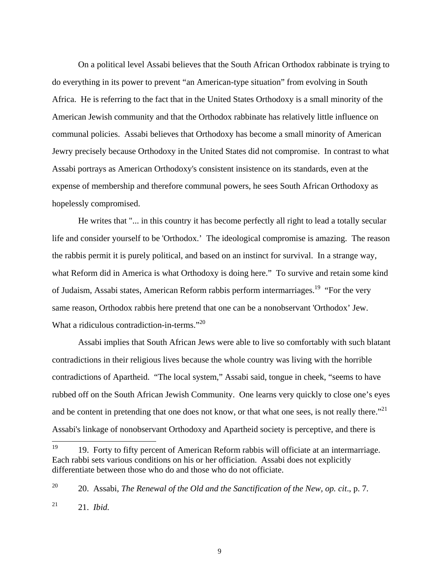On a political level Assabi believes that the South African Orthodox rabbinate is trying to do everything in its power to prevent "an American-type situation" from evolving in South Africa. He is referring to the fact that in the United States Orthodoxy is a small minority of the American Jewish community and that the Orthodox rabbinate has relatively little influence on communal policies. Assabi believes that Orthodoxy has become a small minority of American Jewry precisely because Orthodoxy in the United States did not compromise. In contrast to what Assabi portrays as American Orthodoxy's consistent insistence on its standards, even at the expense of membership and therefore communal powers, he sees South African Orthodoxy as hopelessly compromised.

He writes that "... in this country it has become perfectly all right to lead a totally secular life and consider yourself to be 'Orthodox.' The ideological compromise is amazing. The reason the rabbis permit it is purely political, and based on an instinct for survival. In a strange way, what Reform did in America is what Orthodoxy is doing here." To survive and retain some kind of Judaism, Assabi states, American Reform rabbis perform intermarriages.<sup>[19](#page-8-0)</sup> "For the very same reason, Orthodox rabbis here pretend that one can be a nonobservant 'Orthodox' Jew. What a ridiculous contradiction-in-terms."<sup>[20](#page-8-1)</sup>

Assabi implies that South African Jews were able to live so comfortably with such blatant contradictions in their religious lives because the whole country was living with the horrible contradictions of Apartheid. "The local system," Assabi said, tongue in cheek, "seems to have rubbed off on the South African Jewish Community. One learns very quickly to close one's eyes and be content in pretending that one does not know, or that what one sees, is not really there."<sup>[21](#page-8-2)</sup> Assabi's linkage of nonobservant Orthodoxy and Apartheid society is perceptive, and there is

<span id="page-8-0"></span><sup>&</sup>lt;sup>19</sup> 19. Forty to fifty percent of American Reform rabbis will officiate at an intermarriage. Each rabbi sets various conditions on his or her officiation. Assabi does not explicitly differentiate between those who do and those who do not officiate.

<span id="page-8-1"></span><sup>20</sup> 20. Assabi, *The Renewal of the Old and the Sanctification of the New, op. cit*., p. 7.

<span id="page-8-2"></span><sup>21 21.</sup> *Ibid.*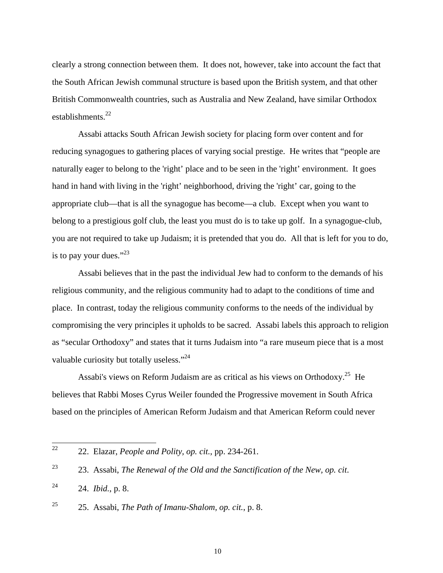clearly a strong connection between them. It does not, however, take into account the fact that the South African Jewish communal structure is based upon the British system, and that other British Commonwealth countries, such as Australia and New Zealand, have similar Orthodox establishments.<sup>[22](#page-9-0)</sup>

Assabi attacks South African Jewish society for placing form over content and for reducing synagogues to gathering places of varying social prestige. He writes that "people are naturally eager to belong to the 'right' place and to be seen in the 'right' environment. It goes hand in hand with living in the 'right' neighborhood, driving the 'right' car, going to the appropriate club—that is all the synagogue has become—a club. Except when you want to belong to a prestigious golf club, the least you must do is to take up golf. In a synagogue-club, you are not required to take up Judaism; it is pretended that you do. All that is left for you to do, is to pay your dues." $^{23}$  $^{23}$  $^{23}$ 

Assabi believes that in the past the individual Jew had to conform to the demands of his religious community, and the religious community had to adapt to the conditions of time and place. In contrast, today the religious community conforms to the needs of the individual by compromising the very principles it upholds to be sacred. Assabi labels this approach to religion as "secular Orthodoxy" and states that it turns Judaism into "a rare museum piece that is a most valuable curiosity but totally useless."<sup>[24](#page-9-2)</sup>

Assabi's views on Reform Judaism are as critical as his views on Orthodoxy.<sup>[25](#page-9-3)</sup> He believes that Rabbi Moses Cyrus Weiler founded the Progressive movement in South Africa based on the principles of American Reform Judaism and that American Reform could never

<span id="page-9-0"></span> <sup>22</sup> 22. Elazar, *People and Polity, op. cit.*, pp. 234-261.

<span id="page-9-1"></span><sup>23</sup> 23. Assabi, *The Renewal of the Old and the Sanctification of the New, op. cit*.

<span id="page-9-2"></span><sup>24 24.</sup> *Ibid.*, p. 8.

<span id="page-9-3"></span><sup>25</sup> 25. Assabi, *The Path of Imanu-Shalom, op. cit.*, p. 8.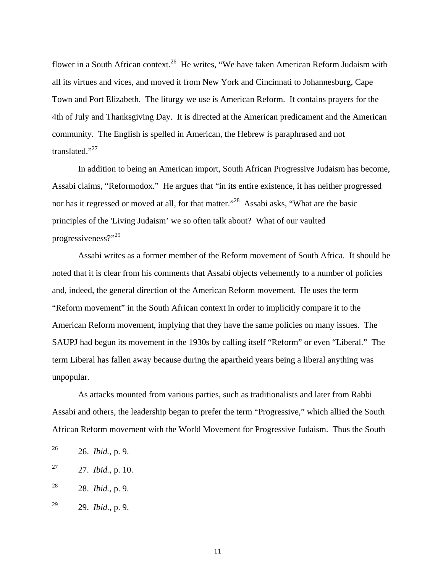flower in a South African context.<sup>[26](#page-10-0)</sup> He writes, "We have taken American Reform Judaism with all its virtues and vices, and moved it from New York and Cincinnati to Johannesburg, Cape Town and Port Elizabeth. The liturgy we use is American Reform. It contains prayers for the 4th of July and Thanksgiving Day. It is directed at the American predicament and the American community. The English is spelled in American, the Hebrew is paraphrased and not translated."<sup>[27](#page-10-1)</sup>

In addition to being an American import, South African Progressive Judaism has become, Assabi claims, "Reformodox." He argues that "in its entire existence, it has neither progressed nor has it regressed or moved at all, for that matter."<sup>[28](#page-10-2)</sup> Assabi asks, "What are the basic principles of the 'Living Judaism' we so often talk about? What of our vaulted progressiveness?"<sup>[29](#page-10-3)</sup>

Assabi writes as a former member of the Reform movement of South Africa. It should be noted that it is clear from his comments that Assabi objects vehemently to a number of policies and, indeed, the general direction of the American Reform movement. He uses the term "Reform movement" in the South African context in order to implicitly compare it to the American Reform movement, implying that they have the same policies on many issues. The SAUPJ had begun its movement in the 1930s by calling itself "Reform" or even "Liberal." The term Liberal has fallen away because during the apartheid years being a liberal anything was unpopular.

As attacks mounted from various parties, such as traditionalists and later from Rabbi Assabi and others, the leadership began to prefer the term "Progressive," which allied the South African Reform movement with the World Movement for Progressive Judaism. Thus the South

<span id="page-10-0"></span> <sup>26 26.</sup> *Ibid.,* p. 9.

<span id="page-10-1"></span><sup>27 27.</sup> *Ibid.,* p. 10.

<span id="page-10-2"></span><sup>28 28.</sup> *Ibid.,* p. 9.

<span id="page-10-3"></span><sup>29 29.</sup> *Ibid.*, p. 9.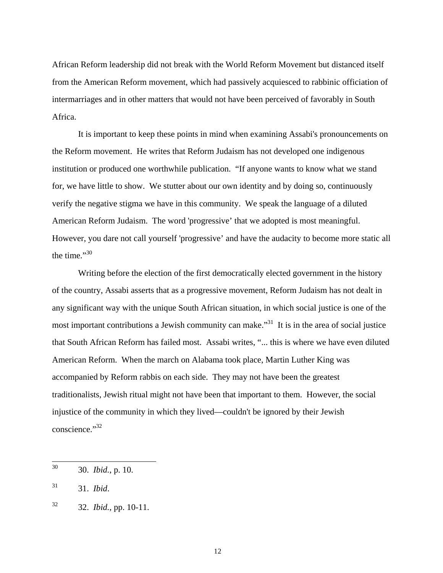African Reform leadership did not break with the World Reform Movement but distanced itself from the American Reform movement, which had passively acquiesced to rabbinic officiation of intermarriages and in other matters that would not have been perceived of favorably in South Africa.

It is important to keep these points in mind when examining Assabi's pronouncements on the Reform movement. He writes that Reform Judaism has not developed one indigenous institution or produced one worthwhile publication. "If anyone wants to know what we stand for, we have little to show. We stutter about our own identity and by doing so, continuously verify the negative stigma we have in this community. We speak the language of a diluted American Reform Judaism. The word 'progressive' that we adopted is most meaningful. However, you dare not call yourself 'progressive' and have the audacity to become more static all the time." $30$ 

Writing before the election of the first democratically elected government in the history of the country, Assabi asserts that as a progressive movement, Reform Judaism has not dealt in any significant way with the unique South African situation, in which social justice is one of the most important contributions a Jewish community can make.<sup>[31](#page-11-1)</sup> It is in the area of social justice that South African Reform has failed most. Assabi writes, "... this is where we have even diluted American Reform. When the march on Alabama took place, Martin Luther King was accompanied by Reform rabbis on each side. They may not have been the greatest traditionalists, Jewish ritual might not have been that important to them. However, the social injustice of the community in which they lived—couldn't be ignored by their Jewish conscience."<sup>[32](#page-11-2)</sup>

<span id="page-11-0"></span> <sup>30 30.</sup> *Ibid.*, p. 10.

<span id="page-11-1"></span><sup>31 31.</sup> *Ibid*.

<span id="page-11-2"></span><sup>32 32.</sup> *Ibid.*, pp. 10-11.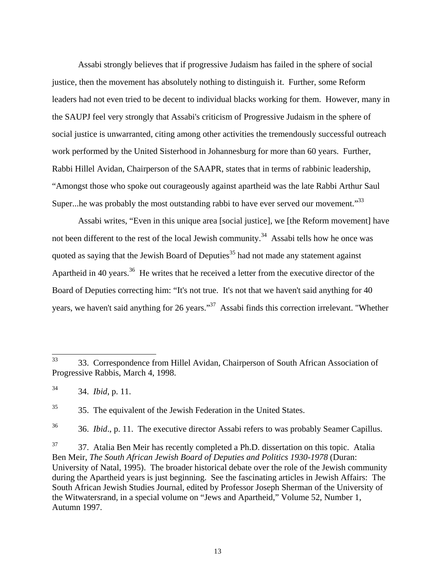Assabi strongly believes that if progressive Judaism has failed in the sphere of social justice, then the movement has absolutely nothing to distinguish it. Further, some Reform leaders had not even tried to be decent to individual blacks working for them. However, many in the SAUPJ feel very strongly that Assabi's criticism of Progressive Judaism in the sphere of social justice is unwarranted, citing among other activities the tremendously successful outreach work performed by the United Sisterhood in Johannesburg for more than 60 years. Further, Rabbi Hillel Avidan, Chairperson of the SAAPR, states that in terms of rabbinic leadership, "Amongst those who spoke out courageously against apartheid was the late Rabbi Arthur Saul Super...he was probably the most outstanding rabbi to have ever served our movement."<sup>[33](#page-12-0)</sup>

Assabi writes, "Even in this unique area [social justice], we [the Reform movement] have not been different to the rest of the local Jewish community.<sup>[34](#page-12-1)</sup> Assabi tells how he once was quoted as saying that the Jewish Board of Deputies<sup>[35](#page-12-2)</sup> had not made any statement against Apartheid in 40 years.<sup>[36](#page-12-3)</sup> He writes that he received a letter from the executive director of the Board of Deputies correcting him: "It's not true. It's not that we haven't said anything for 40 years, we haven't said anything for 26 years."<sup>[37](#page-12-4)</sup> Assabi finds this correction irrelevant. "Whether

<span id="page-12-2"></span><sup>35</sup> 35. The equivalent of the Jewish Federation in the United States.

<span id="page-12-3"></span><sup>36</sup> 36. *Ibid.*, p. 11. The executive director Assabi refers to was probably Seamer Capillus.

<span id="page-12-4"></span> $37$  37. Atalia Ben Meir has recently completed a Ph.D. dissertation on this topic. Atalia Ben Meir, *The South African Jewish Board of Deputies and Politics 1930-1978* (Duran: University of Natal, 1995). The broader historical debate over the role of the Jewish community during the Apartheid years is just beginning. See the fascinating articles in Jewish Affairs: The South African Jewish Studies Journal, edited by Professor Joseph Sherman of the University of the Witwatersrand, in a special volume on "Jews and Apartheid," Volume 52, Number 1, Autumn 1997.

<span id="page-12-0"></span> <sup>33</sup> 33. Correspondence from Hillel Avidan, Chairperson of South African Association of Progressive Rabbis, March 4, 1998.

<span id="page-12-1"></span><sup>34 34.</sup> *Ibid*, p. 11.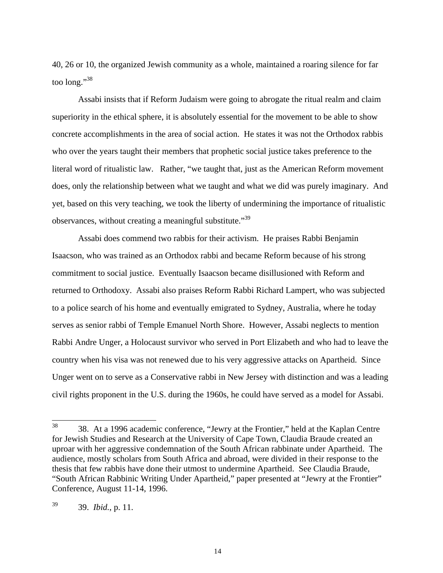40, 26 or 10, the organized Jewish community as a whole, maintained a roaring silence for far too long."[38](#page-13-0)

Assabi insists that if Reform Judaism were going to abrogate the ritual realm and claim superiority in the ethical sphere, it is absolutely essential for the movement to be able to show concrete accomplishments in the area of social action. He states it was not the Orthodox rabbis who over the years taught their members that prophetic social justice takes preference to the literal word of ritualistic law. Rather, "we taught that, just as the American Reform movement does, only the relationship between what we taught and what we did was purely imaginary. And yet, based on this very teaching, we took the liberty of undermining the importance of ritualistic observances, without creating a meaningful substitute.<sup>[39](#page-13-1)</sup>

Assabi does commend two rabbis for their activism. He praises Rabbi Benjamin Isaacson, who was trained as an Orthodox rabbi and became Reform because of his strong commitment to social justice. Eventually Isaacson became disillusioned with Reform and returned to Orthodoxy. Assabi also praises Reform Rabbi Richard Lampert, who was subjected to a police search of his home and eventually emigrated to Sydney, Australia, where he today serves as senior rabbi of Temple Emanuel North Shore. However, Assabi neglects to mention Rabbi Andre Unger, a Holocaust survivor who served in Port Elizabeth and who had to leave the country when his visa was not renewed due to his very aggressive attacks on Apartheid. Since Unger went on to serve as a Conservative rabbi in New Jersey with distinction and was a leading civil rights proponent in the U.S. during the 1960s, he could have served as a model for Assabi.

<span id="page-13-0"></span> <sup>38</sup> 38. At a 1996 academic conference, "Jewry at the Frontier," held at the Kaplan Centre for Jewish Studies and Research at the University of Cape Town, Claudia Braude created an uproar with her aggressive condemnation of the South African rabbinate under Apartheid. The audience, mostly scholars from South Africa and abroad, were divided in their response to the thesis that few rabbis have done their utmost to undermine Apartheid. See Claudia Braude, "South African Rabbinic Writing Under Apartheid," paper presented at "Jewry at the Frontier" Conference, August 11-14, 1996.

<span id="page-13-1"></span><sup>39 39.</sup> *Ibid.*, p. 11.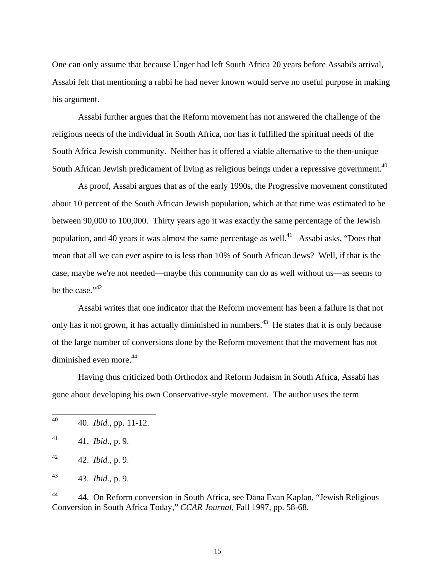One can only assume that because Unger had left South Africa 20 years before Assabi's arrival, Assabi felt that mentioning a rabbi he had never known would serve no useful purpose in making his argument.

Assabi further argues that the Reform movement has not answered the challenge of the religious needs of the individual in South Africa, nor has it fulfilled the spiritual needs of the South Africa Jewish community. Neither has it offered a viable alternative to the then-unique South African Jewish predicament of living as religious beings under a repressive government.<sup>[40](#page-14-0)</sup>

As proof, Assabi argues that as of the early 1990s, the Progressive movement constituted about 10 percent of the South African Jewish population, which at that time was estimated to be between 90,000 to 100,000. Thirty years ago it was exactly the same percentage of the Jewish population, and 40 years it was almost the same percentage as well.<sup>[41](#page-14-1)</sup> Assabi asks, "Does that mean that all we can ever aspire to is less than 10% of South African Jews? Well, if that is the case, maybe we're not needed—maybe this community can do as well without us—as seems to be the case." $42$ 

Assabi writes that one indicator that the Reform movement has been a failure is that not only has it not grown, it has actually diminished in numbers.<sup>[43](#page-14-3)</sup> He states that it is only because of the large number of conversions done by the Reform movement that the movement has not diminished even more.<sup>[44](#page-14-4)</sup>

Having thus criticized both Orthodox and Reform Judaism in South Africa, Assabi has gone about developing his own Conservative-style movement. The author uses the term

<span id="page-14-4"></span><sup>44</sup> 44. On Reform conversion in South Africa, see Dana Evan Kaplan, "Jewish Religious Conversion in South Africa Today," *CCAR Journal*, Fall 1997, pp. 58-68.

<span id="page-14-0"></span> <sup>40 40.</sup> *Ibid.*, pp. 11-12.

<span id="page-14-1"></span><sup>41 41.</sup> *Ibid*., p. 9.

<span id="page-14-2"></span><sup>42 42.</sup> *Ibid.*, p. 9.

<span id="page-14-3"></span><sup>43 43.</sup> *Ibid.*, p. 9.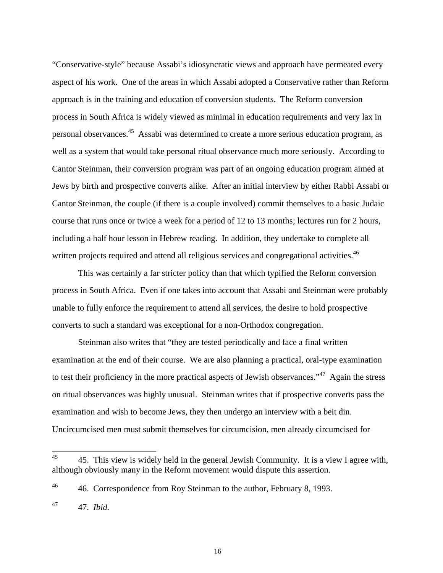"Conservative-style" because Assabi's idiosyncratic views and approach have permeated every aspect of his work. One of the areas in which Assabi adopted a Conservative rather than Reform approach is in the training and education of conversion students. The Reform conversion process in South Africa is widely viewed as minimal in education requirements and very lax in personal observances.[45](#page-15-0) Assabi was determined to create a more serious education program, as well as a system that would take personal ritual observance much more seriously. According to Cantor Steinman, their conversion program was part of an ongoing education program aimed at Jews by birth and prospective converts alike. After an initial interview by either Rabbi Assabi or Cantor Steinman, the couple (if there is a couple involved) commit themselves to a basic Judaic course that runs once or twice a week for a period of 12 to 13 months; lectures run for 2 hours, including a half hour lesson in Hebrew reading. In addition, they undertake to complete all written projects required and attend all religious services and congregational activities.<sup>[46](#page-15-1)</sup>

This was certainly a far stricter policy than that which typified the Reform conversion process in South Africa. Even if one takes into account that Assabi and Steinman were probably unable to fully enforce the requirement to attend all services, the desire to hold prospective converts to such a standard was exceptional for a non-Orthodox congregation.

Steinman also writes that "they are tested periodically and face a final written examination at the end of their course. We are also planning a practical, oral-type examination to test their proficiency in the more practical aspects of Jewish observances."<sup>[47](#page-15-2)</sup> Again the stress on ritual observances was highly unusual. Steinman writes that if prospective converts pass the examination and wish to become Jews, they then undergo an interview with a beit din. Uncircumcised men must submit themselves for circumcision, men already circumcised for

<span id="page-15-0"></span><sup>&</sup>lt;sup>45</sup> 45. This view is widely held in the general Jewish Community. It is a view I agree with, although obviously many in the Reform movement would dispute this assertion.

<span id="page-15-1"></span><sup>&</sup>lt;sup>46</sup> 46. Correspondence from Roy Steinman to the author, February 8, 1993.

<span id="page-15-2"></span><sup>47 47.</sup> *Ibid.*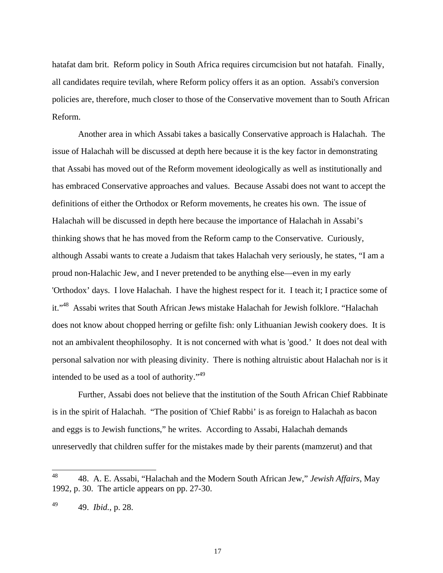hatafat dam brit. Reform policy in South Africa requires circumcision but not hatafah. Finally, all candidates require tevilah, where Reform policy offers it as an option. Assabi's conversion policies are, therefore, much closer to those of the Conservative movement than to South African Reform.

Another area in which Assabi takes a basically Conservative approach is Halachah. The issue of Halachah will be discussed at depth here because it is the key factor in demonstrating that Assabi has moved out of the Reform movement ideologically as well as institutionally and has embraced Conservative approaches and values. Because Assabi does not want to accept the definitions of either the Orthodox or Reform movements, he creates his own. The issue of Halachah will be discussed in depth here because the importance of Halachah in Assabi's thinking shows that he has moved from the Reform camp to the Conservative. Curiously, although Assabi wants to create a Judaism that takes Halachah very seriously, he states, "I am a proud non-Halachic Jew, and I never pretended to be anything else—even in my early 'Orthodox' days. I love Halachah. I have the highest respect for it. I teach it; I practice some of it."[48](#page-16-0) Assabi writes that South African Jews mistake Halachah for Jewish folklore. "Halachah does not know about chopped herring or gefilte fish: only Lithuanian Jewish cookery does. It is not an ambivalent theophilosophy. It is not concerned with what is 'good.' It does not deal with personal salvation nor with pleasing divinity. There is nothing altruistic about Halachah nor is it intended to be used as a tool of authority."<sup>[49](#page-16-1)</sup>

Further, Assabi does not believe that the institution of the South African Chief Rabbinate is in the spirit of Halachah. "The position of 'Chief Rabbi' is as foreign to Halachah as bacon and eggs is to Jewish functions," he writes. According to Assabi, Halachah demands unreservedly that children suffer for the mistakes made by their parents (mamzerut) and that

<span id="page-16-0"></span> <sup>48</sup> 48. A. E. Assabi, "Halachah and the Modern South African Jew," *Jewish Affairs*, May 1992, p. 30. The article appears on pp. 27-30.

<span id="page-16-1"></span><sup>49 49.</sup> *Ibid.*, p. 28.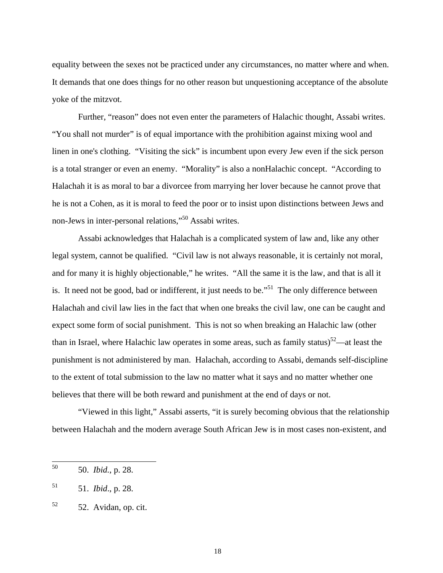equality between the sexes not be practiced under any circumstances, no matter where and when. It demands that one does things for no other reason but unquestioning acceptance of the absolute yoke of the mitzvot.

Further, "reason" does not even enter the parameters of Halachic thought, Assabi writes. "You shall not murder" is of equal importance with the prohibition against mixing wool and linen in one's clothing. "Visiting the sick" is incumbent upon every Jew even if the sick person is a total stranger or even an enemy. "Morality" is also a nonHalachic concept. "According to Halachah it is as moral to bar a divorcee from marrying her lover because he cannot prove that he is not a Cohen, as it is moral to feed the poor or to insist upon distinctions between Jews and non-Jews in inter-personal relations,"[50](#page-17-0) Assabi writes.

Assabi acknowledges that Halachah is a complicated system of law and, like any other legal system, cannot be qualified. "Civil law is not always reasonable, it is certainly not moral, and for many it is highly objectionable," he writes. "All the same it is the law, and that is all it is. It need not be good, bad or indifferent, it just needs to be."<sup>[51](#page-17-1)</sup> The only difference between Halachah and civil law lies in the fact that when one breaks the civil law, one can be caught and expect some form of social punishment. This is not so when breaking an Halachic law (other than in Israel, where Halachic law operates in some areas, such as family status) $52$ —at least the punishment is not administered by man. Halachah, according to Assabi, demands self-discipline to the extent of total submission to the law no matter what it says and no matter whether one believes that there will be both reward and punishment at the end of days or not.

"Viewed in this light," Assabi asserts, "it is surely becoming obvious that the relationship between Halachah and the modern average South African Jew is in most cases non-existent, and

<span id="page-17-0"></span> <sup>50 50.</sup> *Ibid.*, p. 28.

<span id="page-17-1"></span><sup>51 51.</sup> *Ibid*., p. 28.

<span id="page-17-2"></span> $52$  52. Avidan, op. cit.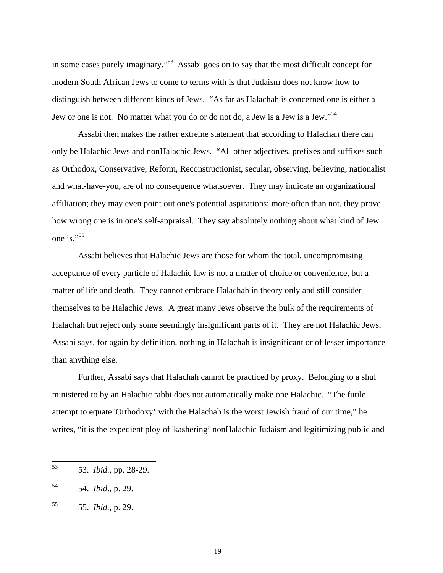in some cases purely imaginary."[53](#page-18-0) Assabi goes on to say that the most difficult concept for modern South African Jews to come to terms with is that Judaism does not know how to distinguish between different kinds of Jews. "As far as Halachah is concerned one is either a Jew or one is not. No matter what you do or do not do, a Jew is a Jew is a Jew."<sup>[54](#page-18-1)</sup>

Assabi then makes the rather extreme statement that according to Halachah there can only be Halachic Jews and nonHalachic Jews. "All other adjectives, prefixes and suffixes such as Orthodox, Conservative, Reform, Reconstructionist, secular, observing, believing, nationalist and what-have-you, are of no consequence whatsoever. They may indicate an organizational affiliation; they may even point out one's potential aspirations; more often than not, they prove how wrong one is in one's self-appraisal. They say absolutely nothing about what kind of Jew one is."<sup>[55](#page-18-2)</sup>

Assabi believes that Halachic Jews are those for whom the total, uncompromising acceptance of every particle of Halachic law is not a matter of choice or convenience, but a matter of life and death. They cannot embrace Halachah in theory only and still consider themselves to be Halachic Jews. A great many Jews observe the bulk of the requirements of Halachah but reject only some seemingly insignificant parts of it. They are not Halachic Jews, Assabi says, for again by definition, nothing in Halachah is insignificant or of lesser importance than anything else.

Further, Assabi says that Halachah cannot be practiced by proxy. Belonging to a shul ministered to by an Halachic rabbi does not automatically make one Halachic. "The futile attempt to equate 'Orthodoxy' with the Halachah is the worst Jewish fraud of our time," he writes, "it is the expedient ploy of 'kashering' nonHalachic Judaism and legitimizing public and

<span id="page-18-0"></span> <sup>53 53.</sup> *Ibid.*, pp. 28-29.

<span id="page-18-1"></span><sup>54 54.</sup> *Ibid*., p. 29.

<span id="page-18-2"></span><sup>55 55.</sup> *Ibid.*, p. 29.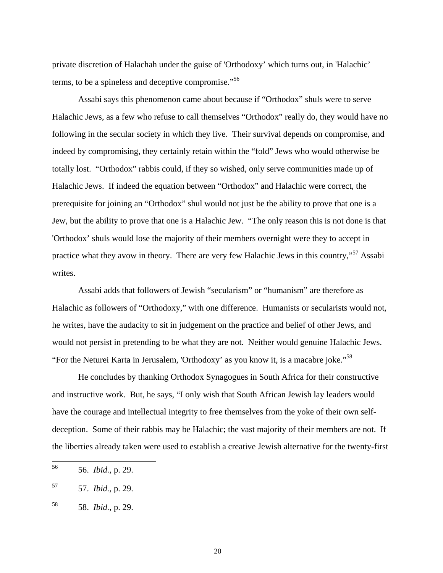private discretion of Halachah under the guise of 'Orthodoxy' which turns out, in 'Halachic' terms, to be a spineless and deceptive compromise."<sup>[56](#page-19-0)</sup>

Assabi says this phenomenon came about because if "Orthodox" shuls were to serve Halachic Jews, as a few who refuse to call themselves "Orthodox" really do, they would have no following in the secular society in which they live. Their survival depends on compromise, and indeed by compromising, they certainly retain within the "fold" Jews who would otherwise be totally lost. "Orthodox" rabbis could, if they so wished, only serve communities made up of Halachic Jews. If indeed the equation between "Orthodox" and Halachic were correct, the prerequisite for joining an "Orthodox" shul would not just be the ability to prove that one is a Jew, but the ability to prove that one is a Halachic Jew. "The only reason this is not done is that 'Orthodox' shuls would lose the majority of their members overnight were they to accept in practice what they avow in theory. There are very few Halachic Jews in this country,"[57](#page-19-1) Assabi writes.

Assabi adds that followers of Jewish "secularism" or "humanism" are therefore as Halachic as followers of "Orthodoxy," with one difference. Humanists or secularists would not, he writes, have the audacity to sit in judgement on the practice and belief of other Jews, and would not persist in pretending to be what they are not. Neither would genuine Halachic Jews. "For the Neturei Karta in Jerusalem, 'Orthodoxy' as you know it, is a macabre joke."<sup>[58](#page-19-2)</sup>

He concludes by thanking Orthodox Synagogues in South Africa for their constructive and instructive work. But, he says, "I only wish that South African Jewish lay leaders would have the courage and intellectual integrity to free themselves from the yoke of their own selfdeception. Some of their rabbis may be Halachic; the vast majority of their members are not. If the liberties already taken were used to establish a creative Jewish alternative for the twenty-first

<span id="page-19-0"></span> <sup>56 56.</sup> *Ibid.*, p. 29.

<span id="page-19-1"></span><sup>57 57.</sup> *Ibid.*, p. 29.

<span id="page-19-2"></span><sup>58 58.</sup> *Ibid.*, p. 29.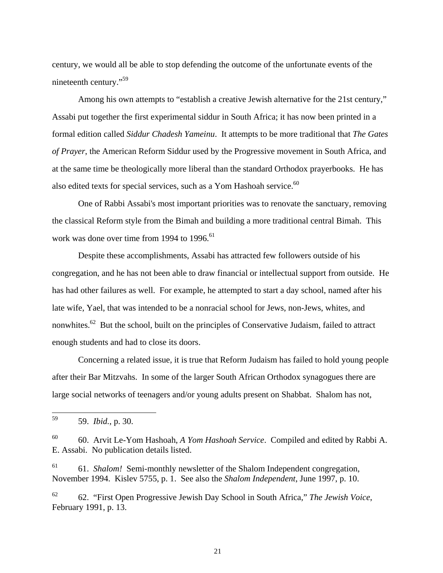century, we would all be able to stop defending the outcome of the unfortunate events of the nineteenth century."<sup>[59](#page-20-0)</sup>

Among his own attempts to "establish a creative Jewish alternative for the 21st century," Assabi put together the first experimental siddur in South Africa; it has now been printed in a formal edition called *Siddur Chadesh Yameinu*. It attempts to be more traditional that *The Gates of Prayer*, the American Reform Siddur used by the Progressive movement in South Africa, and at the same time be theologically more liberal than the standard Orthodox prayerbooks. He has also edited texts for special services, such as a Yom Hashoah service.<sup>[60](#page-20-1)</sup>

One of Rabbi Assabi's most important priorities was to renovate the sanctuary, removing the classical Reform style from the Bimah and building a more traditional central Bimah. This work was done over time from 1994 to  $1996$ .<sup>[61](#page-20-2)</sup>

Despite these accomplishments, Assabi has attracted few followers outside of his congregation, and he has not been able to draw financial or intellectual support from outside. He has had other failures as well. For example, he attempted to start a day school, named after his late wife, Yael, that was intended to be a nonracial school for Jews, non-Jews, whites, and nonwhites.<sup>[62](#page-20-3)</sup> But the school, built on the principles of Conservative Judaism, failed to attract enough students and had to close its doors.

Concerning a related issue, it is true that Reform Judaism has failed to hold young people after their Bar Mitzvahs. In some of the larger South African Orthodox synagogues there are large social networks of teenagers and/or young adults present on Shabbat. Shalom has not,

<span id="page-20-2"></span>61 61. *Shalom!* Semi-monthly newsletter of the Shalom Independent congregation, November 1994. Kislev 5755, p. 1. See also the *Shalom Independent*, June 1997, p. 10.

<span id="page-20-0"></span> <sup>59 59.</sup> *Ibid.*, p. 30.

<span id="page-20-1"></span><sup>60</sup> 60. Arvit Le-Yom Hashoah, *A Yom Hashoah Service*. Compiled and edited by Rabbi A. E. Assabi. No publication details listed.

<span id="page-20-3"></span><sup>62</sup> 62. "First Open Progressive Jewish Day School in South Africa," *The Jewish Voice*, February 1991, p. 13.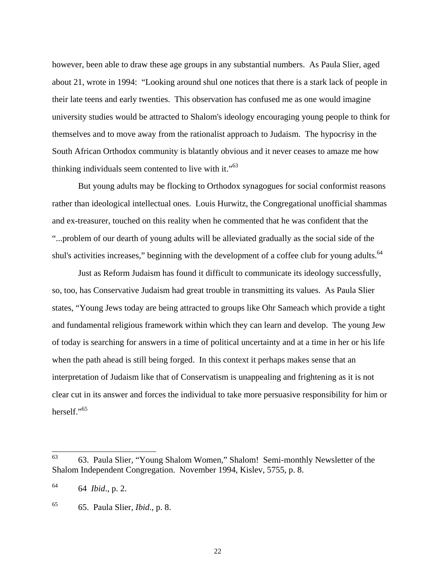however, been able to draw these age groups in any substantial numbers. As Paula Slier, aged about 21, wrote in 1994: "Looking around shul one notices that there is a stark lack of people in their late teens and early twenties. This observation has confused me as one would imagine university studies would be attracted to Shalom's ideology encouraging young people to think for themselves and to move away from the rationalist approach to Judaism. The hypocrisy in the South African Orthodox community is blatantly obvious and it never ceases to amaze me how thinking individuals seem contented to live with it."<sup>[63](#page-21-0)</sup>

But young adults may be flocking to Orthodox synagogues for social conformist reasons rather than ideological intellectual ones. Louis Hurwitz, the Congregational unofficial shammas and ex-treasurer, touched on this reality when he commented that he was confident that the "...problem of our dearth of young adults will be alleviated gradually as the social side of the shul's activities increases," beginning with the development of a coffee club for young adults.<sup>[64](#page-21-1)</sup>

Just as Reform Judaism has found it difficult to communicate its ideology successfully, so, too, has Conservative Judaism had great trouble in transmitting its values. As Paula Slier states, "Young Jews today are being attracted to groups like Ohr Sameach which provide a tight and fundamental religious framework within which they can learn and develop. The young Jew of today is searching for answers in a time of political uncertainty and at a time in her or his life when the path ahead is still being forged. In this context it perhaps makes sense that an interpretation of Judaism like that of Conservatism is unappealing and frightening as it is not clear cut in its answer and forces the individual to take more persuasive responsibility for him or herself."<sup>[65](#page-21-2)</sup>

<span id="page-21-0"></span> <sup>63</sup> 63. Paula Slier, "Young Shalom Women," Shalom! Semi-monthly Newsletter of the Shalom Independent Congregation. November 1994, Kislev, 5755, p. 8.

<span id="page-21-1"></span><sup>64 64</sup> *Ibid*., p. 2.

<span id="page-21-2"></span><sup>65</sup> 65. Paula Slier, *Ibid*., p. 8.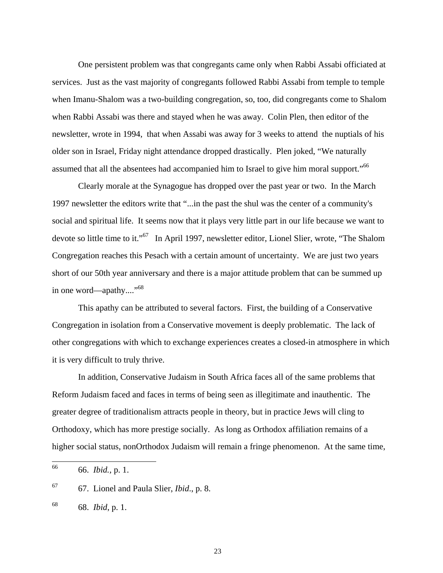One persistent problem was that congregants came only when Rabbi Assabi officiated at services. Just as the vast majority of congregants followed Rabbi Assabi from temple to temple when Imanu-Shalom was a two-building congregation, so, too, did congregants come to Shalom when Rabbi Assabi was there and stayed when he was away. Colin Plen, then editor of the newsletter, wrote in 1994, that when Assabi was away for 3 weeks to attend the nuptials of his older son in Israel, Friday night attendance dropped drastically. Plen joked, "We naturally assumed that all the absentees had accompanied him to Israel to give him moral support."<sup>[66](#page-22-0)</sup>

Clearly morale at the Synagogue has dropped over the past year or two. In the March 1997 newsletter the editors write that "...in the past the shul was the center of a community's social and spiritual life. It seems now that it plays very little part in our life because we want to devote so little time to it."<sup>[67](#page-22-1)</sup> In April 1997, newsletter editor, Lionel Slier, wrote, "The Shalom Congregation reaches this Pesach with a certain amount of uncertainty. We are just two years short of our 50th year anniversary and there is a major attitude problem that can be summed up in one word—apathy...."<sup>[68](#page-22-2)</sup>

This apathy can be attributed to several factors. First, the building of a Conservative Congregation in isolation from a Conservative movement is deeply problematic. The lack of other congregations with which to exchange experiences creates a closed-in atmosphere in which it is very difficult to truly thrive.

In addition, Conservative Judaism in South Africa faces all of the same problems that Reform Judaism faced and faces in terms of being seen as illegitimate and inauthentic. The greater degree of traditionalism attracts people in theory, but in practice Jews will cling to Orthodoxy, which has more prestige socially. As long as Orthodox affiliation remains of a higher social status, nonOrthodox Judaism will remain a fringe phenomenon. At the same time,

<span id="page-22-0"></span> <sup>66 66.</sup> *Ibid.,* p. 1.

<span id="page-22-1"></span><sup>67</sup> 67. Lionel and Paula Slier, *Ibid*., p. 8.

<span id="page-22-2"></span><sup>68 68.</sup> *Ibid*, p. 1.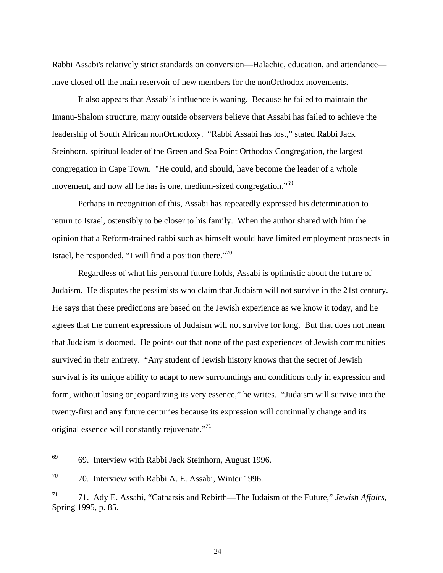Rabbi Assabi's relatively strict standards on conversion—Halachic, education, and attendance have closed off the main reservoir of new members for the nonOrthodox movements.

It also appears that Assabi's influence is waning. Because he failed to maintain the Imanu-Shalom structure, many outside observers believe that Assabi has failed to achieve the leadership of South African nonOrthodoxy. "Rabbi Assabi has lost," stated Rabbi Jack Steinhorn, spiritual leader of the Green and Sea Point Orthodox Congregation, the largest congregation in Cape Town. "He could, and should, have become the leader of a whole movement, and now all he has is one, medium-sized congregation."<sup>[69](#page-23-0)</sup>

Perhaps in recognition of this, Assabi has repeatedly expressed his determination to return to Israel, ostensibly to be closer to his family. When the author shared with him the opinion that a Reform-trained rabbi such as himself would have limited employment prospects in Israel, he responded, "I will find a position there."<sup>[70](#page-23-1)</sup>

Regardless of what his personal future holds, Assabi is optimistic about the future of Judaism. He disputes the pessimists who claim that Judaism will not survive in the 21st century. He says that these predictions are based on the Jewish experience as we know it today, and he agrees that the current expressions of Judaism will not survive for long. But that does not mean that Judaism is doomed. He points out that none of the past experiences of Jewish communities survived in their entirety. "Any student of Jewish history knows that the secret of Jewish survival is its unique ability to adapt to new surroundings and conditions only in expression and form, without losing or jeopardizing its very essence," he writes. "Judaism will survive into the twenty-first and any future centuries because its expression will continually change and its original essence will constantly rejuvenate."<sup>[71](#page-23-2)</sup>

<span id="page-23-0"></span> <sup>69</sup> 69. Interview with Rabbi Jack Steinhorn, August 1996.

<span id="page-23-1"></span><sup>70</sup> 70. Interview with Rabbi A. E. Assabi, Winter 1996.

<span id="page-23-2"></span><sup>71</sup> 71. Ady E. Assabi, "Catharsis and Rebirth—The Judaism of the Future," *Jewish Affairs*, Spring 1995, p. 85.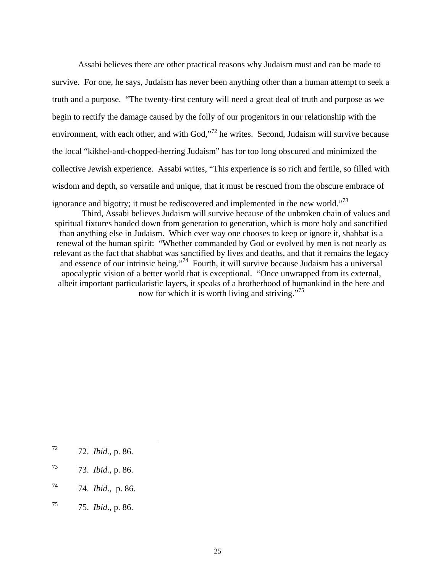Assabi believes there are other practical reasons why Judaism must and can be made to survive. For one, he says, Judaism has never been anything other than a human attempt to seek a truth and a purpose. "The twenty-first century will need a great deal of truth and purpose as we begin to rectify the damage caused by the folly of our progenitors in our relationship with the environment, with each other, and with God,"<sup>[72](#page-24-0)</sup> he writes. Second, Judaism will survive because the local "kikhel-and-chopped-herring Judaism" has for too long obscured and minimized the collective Jewish experience. Assabi writes, "This experience is so rich and fertile, so filled with wisdom and depth, so versatile and unique, that it must be rescued from the obscure embrace of ignorance and bigotry; it must be rediscovered and implemented in the new world."<sup>[73](#page-24-1)</sup>

Third, Assabi believes Judaism will survive because of the unbroken chain of values and spiritual fixtures handed down from generation to generation, which is more holy and sanctified than anything else in Judaism. Which ever way one chooses to keep or ignore it, shabbat is a renewal of the human spirit: "Whether commanded by God or evolved by men is not nearly as relevant as the fact that shabbat was sanctified by lives and deaths, and that it remains the legacy and essence of our intrinsic being."<sup>74</sup> Fourth, it will survive because Judaism has a universal apocalyptic vision of a better world that is exceptional. "Once unwrapped from its external, albeit important particularistic layers, it speaks of a brotherhood of humankind in the here and now for which it is worth living and striving."<sup>75</sup>

<span id="page-24-0"></span> <sup>72 72.</sup> *Ibid.*, p. 86.

<span id="page-24-1"></span><sup>73 73.</sup> *Ibid.*, p. 86.

<span id="page-24-2"></span><sup>74 74.</sup> *Ibid*., p. 86.

<span id="page-24-3"></span><sup>75 75.</sup> *Ibid*., p. 86.